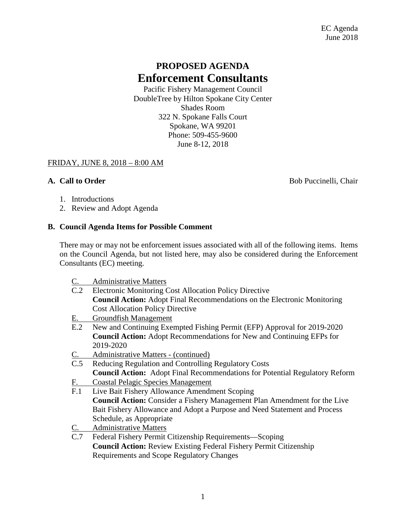# **PROPOSED AGENDA Enforcement Consultants**

Pacific Fishery Management Council DoubleTree by Hilton Spokane City Center Shades Room 322 N. Spokane Falls Court Spokane, WA 99201 Phone: 509-455-9600 June 8-12, 2018

# FRIDAY, JUNE 8, 2018 – 8:00 AM

**A. Call to Order** Bob Puccinelli, Chair

- 1. Introductions
- 2. Review and Adopt Agenda

### **B. Council Agenda Items for Possible Comment**

There may or may not be enforcement issues associated with all of the following items. Items on the Council Agenda, but not listed here, may also be considered during the Enforcement Consultants (EC) meeting.

- C. Administrative Matters
- C.2 Electronic Monitoring Cost Allocation Policy Directive **Council Action:** Adopt Final Recommendations on the Electronic Monitoring Cost Allocation Policy Directive
- E. Groundfish Management
- E.2 New and Continuing Exempted Fishing Permit (EFP) Approval for 2019-2020 **Council Action:** Adopt Recommendations for New and Continuing EFPs for 2019-2020
- C. Administrative Matters (continued)
- C.5 Reducing Regulation and Controlling Regulatory Costs **Council Action:** Adopt Final Recommendations for Potential Regulatory Reform
- F. Coastal Pelagic Species Management
- F.1 Live Bait Fishery Allowance Amendment Scoping **Council Action:** Consider a Fishery Management Plan Amendment for the Live Bait Fishery Allowance and Adopt a Purpose and Need Statement and Process Schedule, as Appropriate
- C. Administrative Matters
- C.7 Federal Fishery Permit Citizenship Requirements—Scoping **Council Action:** Review Existing Federal Fishery Permit Citizenship Requirements and Scope Regulatory Changes